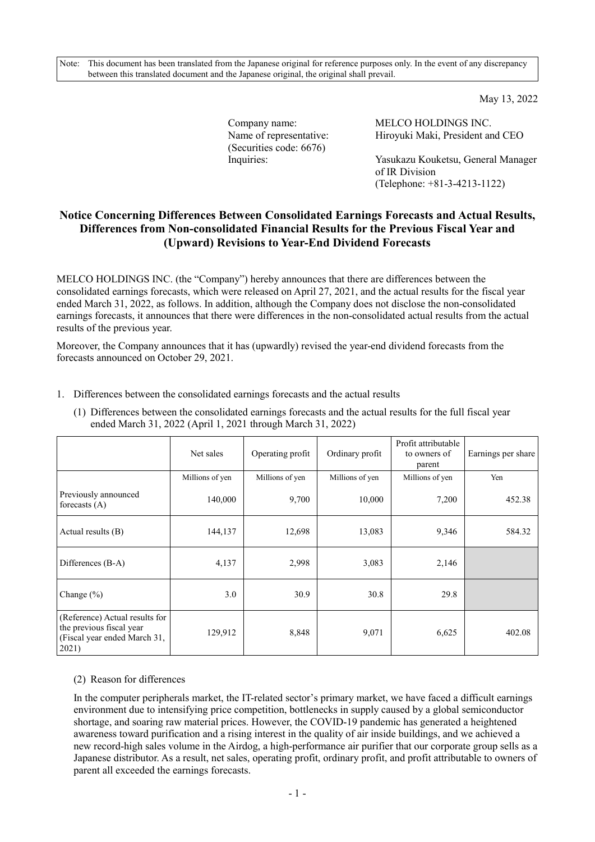Note: This document has been translated from the Japanese original for reference purposes only. In the event of any discrepancy between this translated document and the Japanese original, the original shall prevail.

May 13, 2022

Company name: MELCO HOLDINGS INC. (Securities code: 6676)

Name of representative: Hiroyuki Maki, President and CEO

Inquiries: Yasukazu Kouketsu, General Manager of IR Division (Telephone: +81-3-4213-1122)

# **Notice Concerning Differences Between Consolidated Earnings Forecasts and Actual Results, Differences from Non-consolidated Financial Results for the Previous Fiscal Year and (Upward) Revisions to Year-End Dividend Forecasts**

MELCO HOLDINGS INC. (the "Company") hereby announces that there are differences between the consolidated earnings forecasts, which were released on April 27, 2021, and the actual results for the fiscal year ended March 31, 2022, as follows. In addition, although the Company does not disclose the non-consolidated earnings forecasts, it announces that there were differences in the non-consolidated actual results from the actual results of the previous year.

Moreover, the Company announces that it has (upwardly) revised the year-end dividend forecasts from the forecasts announced on October 29, 2021.

1. Differences between the consolidated earnings forecasts and the actual results

| ended March 31, 2022 (April 1, 2021 through March 31, 2022)                                |                 |                  |                 |                                               |                    |  |  |
|--------------------------------------------------------------------------------------------|-----------------|------------------|-----------------|-----------------------------------------------|--------------------|--|--|
|                                                                                            | Net sales       | Operating profit | Ordinary profit | Profit attributable<br>to owners of<br>parent | Earnings per share |  |  |
|                                                                                            | Millions of yen | Millions of yen  | Millions of yen | Millions of yen                               | Yen                |  |  |
| Previously announced<br>forecasts $(A)$                                                    | 140,000         | 9,700            | 10,000          | 7,200                                         | 452.38             |  |  |
| Actual results (B)                                                                         | 144,137         | 12,698           | 13,083          | 9,346                                         | 584.32             |  |  |
| Differences (B-A)                                                                          | 4,137           | 2,998            | 3,083           | 2,146                                         |                    |  |  |
| Change $(\% )$                                                                             | 3.0             | 30.9             | 30.8            | 29.8                                          |                    |  |  |
| (Reference) Actual results for<br>the previous fiscal year<br>(Fiscal year ended March 31, | 129,912         | 8,848            | 9,071           | 6,625                                         | 402.08             |  |  |

(1) Differences between the consolidated earnings forecasts and the actual results for the full fiscal year

## (2) Reason for differences

2021)

In the computer peripherals market, the IT-related sector's primary market, we have faced a difficult earnings environment due to intensifying price competition, bottlenecks in supply caused by a global semiconductor shortage, and soaring raw material prices. However, the COVID-19 pandemic has generated a heightened awareness toward purification and a rising interest in the quality of air inside buildings, and we achieved a new record-high sales volume in the Airdog, a high-performance air purifier that our corporate group sells as a Japanese distributor. As a result, net sales, operating profit, ordinary profit, and profit attributable to owners of parent all exceeded the earnings forecasts.